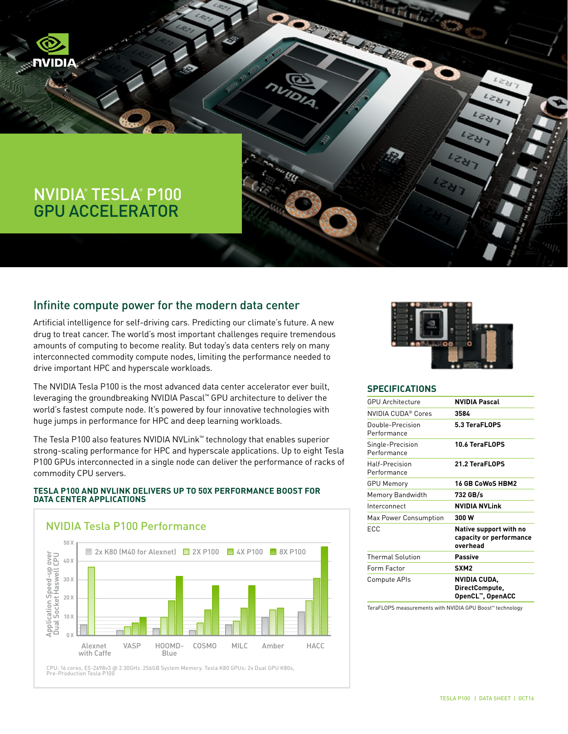# NVIDIA® TESLA® P100 GPU ACCELERATOR

## Infinite compute power for the modern data center

Artificial intelligence for self-driving cars. Predicting our climate's future. A new drug to treat cancer. The world's most important challenges require tremendous amounts of computing to become reality. But today's data centers rely on many interconnected commodity compute nodes, limiting the performance needed to drive important HPC and hyperscale workloads.

The NVIDIA Tesla P100 is the most advanced data center accelerator ever built, leveraging the groundbreaking NVIDIA Pascal™ GPU architecture to deliver the world's fastest compute node. It's powered by four innovative technologies with huge jumps in performance for HPC and deep learning workloads.

The Tesla P100 also features NVIDIA NVLink™ technology that enables superior strong-scaling performance for HPC and hyperscale applications. Up to eight Tesla P100 GPUs interconnected in a single node can deliver the performance of racks of commodity CPU servers.

#### **TESLA P100 AND NVLINK DELIVERS UP TO 50X PERFORMANCE BOOST FOR DATA CENTER APPLICATIONS**



CPU: 16 cores, E5-2698v3 @ 2.30GHz. 256GB System Memory. Tesla K80 GPUs: 2x Dual GPU K80s,<br>Pre-Production Tesla P100



#### **SPECIFICATIONS**

PARTIES OF THE COMPANY

| <b>GPU Architecture</b>         | <b>NVIDIA Pascal</b>                                          |
|---------------------------------|---------------------------------------------------------------|
| NVIDIA CUDA® Cores              | 3584                                                          |
| Double-Precision<br>Performance | 5.3 TeraFLOPS                                                 |
| Single-Precision<br>Performance | 10.6 TeraFLOPS                                                |
| Half-Precision<br>Performance   | 21.2 TeraFLOPS                                                |
| <b>GPU Memory</b>               | 16 GB CoWoS HBM2                                              |
| Memory Bandwidth                | 732 GB/s                                                      |
| Interconnect                    | <b>NVIDIA NVLink</b>                                          |
| Max Power Consumption           | 300 W                                                         |
| <b>FCC</b>                      | Native support with no<br>capacity or performance<br>overhead |
| <b>Thermal Solution</b>         | Passive                                                       |
| Form Factor                     | SXM <sub>2</sub>                                              |
| Compute APIs                    | NVIDIA CUDA,<br>DirectCompute,<br>OpenCL™, OpenACC            |
|                                 |                                                               |

TeraFLOPS measurements with NVIDIA GPU Boost™ technology